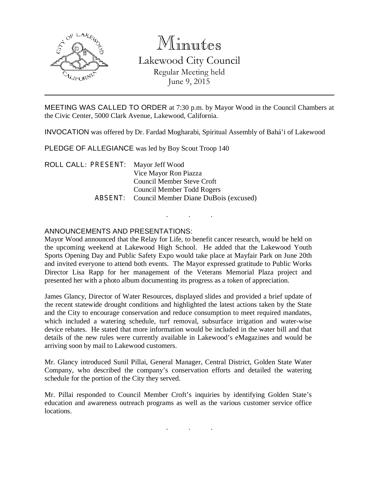

## Minutes Lakewood City Council Regular Meeting held June 9, 2015

MEETING WAS CALLED TO ORDER at 7:30 p.m. by Mayor Wood in the Council Chambers at the Civic Center, 5000 Clark Avenue, Lakewood, California.

INVOCATION was offered by Dr. Fardad Mogharabi, Spiritual Assembly of Bahá'i of Lakewood

PLEDGE OF ALLEGIANCE was led by Boy Scout Troop 140

ROLL CALL: PRESENT: Mayor Jeff Wood Vice Mayor Ron Piazza Council Member Steve Croft Council Member Todd Rogers ABSENT: Council Member Diane DuBois (excused)

## ANNOUNCEMENTS AND PRESENTATIONS:

Mayor Wood announced that the Relay for Life, to benefit cancer research, would be held on the upcoming weekend at Lakewood High School. He added that the Lakewood Youth Sports Opening Day and Public Safety Expo would take place at Mayfair Park on June 20th and invited everyone to attend both events. The Mayor expressed gratitude to Public Works Director Lisa Rapp for her management of the Veterans Memorial Plaza project and presented her with a photo album documenting its progress as a token of appreciation.

. . .

James Glancy, Director of Water Resources, displayed slides and provided a brief update of the recent statewide drought conditions and highlighted the latest actions taken by the State and the City to encourage conservation and reduce consumption to meet required mandates, which included a watering schedule, turf removal, subsurface irrigation and water-wise device rebates. He stated that more information would be included in the water bill and that details of the new rules were currently available in Lakewood's eMagazines and would be arriving soon by mail to Lakewood customers.

Mr. Glancy introduced Sunil Pillai, General Manager, Central District, Golden State Water Company, who described the company's conservation efforts and detailed the watering schedule for the portion of the City they served.

Mr. Pillai responded to Council Member Croft's inquiries by identifying Golden State's education and awareness outreach programs as well as the various customer service office locations.

. . .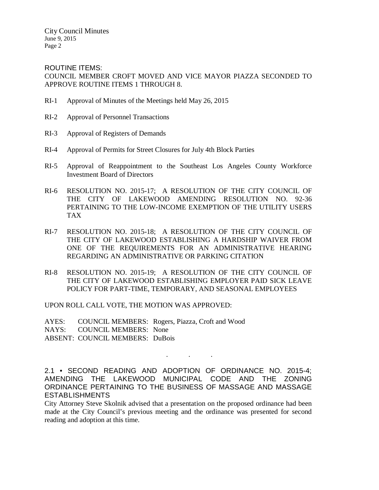City Council Minutes June 9, 2015 Page 2

ROUTINE ITEMS: COUNCIL MEMBER CROFT MOVED AND VICE MAYOR PIAZZA SECONDED TO APPROVE ROUTINE ITEMS 1 THROUGH 8.

- RI-1 Approval of Minutes of the Meetings held May 26, 2015
- RI-2 Approval of Personnel Transactions
- RI-3 Approval of Registers of Demands
- RI-4 Approval of Permits for Street Closures for July 4th Block Parties
- RI-5 Approval of Reappointment to the Southeast Los Angeles County Workforce Investment Board of Directors
- RI-6 RESOLUTION NO. 2015-17; A RESOLUTION OF THE CITY COUNCIL OF THE CITY OF LAKEWOOD AMENDING RESOLUTION NO. 92-36 PERTAINING TO THE LOW-INCOME EXEMPTION OF THE UTILITY USERS TAX
- RI-7 RESOLUTION NO. 2015-18; A RESOLUTION OF THE CITY COUNCIL OF THE CITY OF LAKEWOOD ESTABLISHING A HARDSHIP WAIVER FROM ONE OF THE REQUIREMENTS FOR AN ADMINISTRATIVE HEARING REGARDING AN ADMINISTRATIVE OR PARKING CITATION
- RI-8 RESOLUTION NO. 2015-19; A RESOLUTION OF THE CITY COUNCIL OF THE CITY OF LAKEWOOD ESTABLISHING EMPLOYER PAID SICK LEAVE POLICY FOR PART-TIME, TEMPORARY, AND SEASONAL EMPLOYEES

UPON ROLL CALL VOTE, THE MOTION WAS APPROVED:

AYES: COUNCIL MEMBERS: Rogers, Piazza, Croft and Wood NAYS: COUNCIL MEMBERS: None ABSENT: COUNCIL MEMBERS: DuBois

2.1 • SECOND READING AND ADOPTION OF ORDINANCE NO. 2015-4; AMENDING THE LAKEWOOD MUNICIPAL CODE AND THE ZONING

. . .

ORDINANCE PERTAINING TO THE BUSINESS OF MASSAGE AND MASSAGE ESTABLISHMENTS City Attorney Steve Skolnik advised that a presentation on the proposed ordinance had been made at the City Council's previous meeting and the ordinance was presented for second

reading and adoption at this time.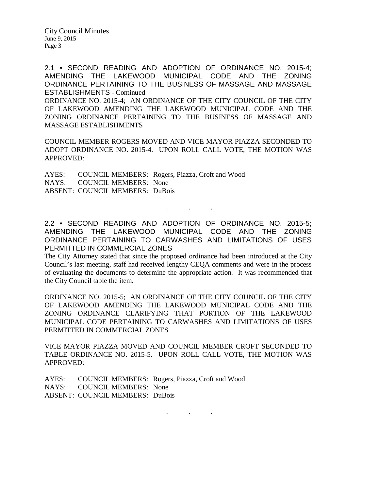City Council Minutes June 9, 2015 Page 3

2.1 • SECOND READING AND ADOPTION OF ORDINANCE NO. 2015-4; AMENDING THE LAKEWOOD MUNICIPAL CODE AND THE ZONING ORDINANCE PERTAINING TO THE BUSINESS OF MASSAGE AND MASSAGE ESTABLISHMENTS - Continued ORDINANCE NO. 2015-4; AN ORDINANCE OF THE CITY COUNCIL OF THE CITY

OF LAKEWOOD AMENDING THE LAKEWOOD MUNICIPAL CODE AND THE ZONING ORDINANCE PERTAINING TO THE BUSINESS OF MASSAGE AND MASSAGE ESTABLISHMENTS

COUNCIL MEMBER ROGERS MOVED AND VICE MAYOR PIAZZA SECONDED TO ADOPT ORDINANCE NO. 2015-4. UPON ROLL CALL VOTE, THE MOTION WAS APPROVED:

AYES: COUNCIL MEMBERS: Rogers, Piazza, Croft and Wood NAYS: COUNCIL MEMBERS: None ABSENT: COUNCIL MEMBERS: DuBois

2.2 • SECOND READING AND ADOPTION OF ORDINANCE NO. 2015-5; AMENDING THE LAKEWOOD MUNICIPAL CODE AND THE ZONING ORDINANCE PERTAINING TO CARWASHES AND LIMITATIONS OF USES PERMITTED IN COMMERCIAL ZONES

. . .

The City Attorney stated that since the proposed ordinance had been introduced at the City Council's last meeting, staff had received lengthy CEQA comments and were in the process of evaluating the documents to determine the appropriate action. It was recommended that the City Council table the item.

ORDINANCE NO. 2015-5; AN ORDINANCE OF THE CITY COUNCIL OF THE CITY OF LAKEWOOD AMENDING THE LAKEWOOD MUNICIPAL CODE AND THE ZONING ORDINANCE CLARIFYING THAT PORTION OF THE LAKEWOOD MUNICIPAL CODE PERTAINING TO CARWASHES AND LIMITATIONS OF USES PERMITTED IN COMMERCIAL ZONES

VICE MAYOR PIAZZA MOVED AND COUNCIL MEMBER CROFT SECONDED TO TABLE ORDINANCE NO. 2015-5. UPON ROLL CALL VOTE, THE MOTION WAS APPROVED:

AYES: COUNCIL MEMBERS: Rogers, Piazza, Croft and Wood NAYS: COUNCIL MEMBERS: None ABSENT: COUNCIL MEMBERS: DuBois

. . .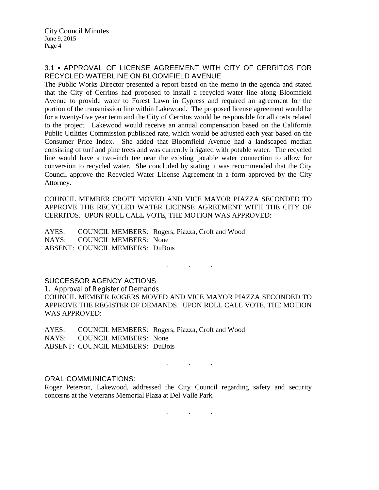## 3.1 • APPROVAL OF LICENSE AGREEMENT WITH CITY OF CERRITOS FOR RECYCLED WATERLINE ON BLOOMFIELD AVENUE

The Public Works Director presented a report based on the memo in the agenda and stated that the City of Cerritos had proposed to install a recycled water line along Bloomfield Avenue to provide water to Forest Lawn in Cypress and required an agreement for the portion of the transmission line within Lakewood. The proposed license agreement would be for a twenty-five year term and the City of Cerritos would be responsible for all costs related to the project. Lakewood would receive an annual compensation based on the California Public Utilities Commission published rate, which would be adjusted each year based on the Consumer Price Index. She added that Bloomfield Avenue had a landscaped median consisting of turf and pine trees and was currently irrigated with potable water. The recycled line would have a two-inch tee near the existing potable water connection to allow for conversion to recycled water. She concluded by stating it was recommended that the City Council approve the Recycled Water License Agreement in a form approved by the City Attorney.

COUNCIL MEMBER CROFT MOVED AND VICE MAYOR PIAZZA SECONDED TO APPROVE THE RECYCLED WATER LICENSE AGREEMENT WITH THE CITY OF CERRITOS. UPON ROLL CALL VOTE, THE MOTION WAS APPROVED:

AYES: COUNCIL MEMBERS: Rogers, Piazza, Croft and Wood NAYS: COUNCIL MEMBERS: None ABSENT: COUNCIL MEMBERS: DuBois

SUCCESSOR AGENCY ACTIONS 1. Approval of Register of Demands COUNCIL MEMBER ROGERS MOVED AND VICE MAYOR PIAZZA SECONDED TO APPROVE THE REGISTER OF DEMANDS. UPON ROLL CALL VOTE, THE MOTION WAS APPROVED:

. . .

AYES: COUNCIL MEMBERS: Rogers, Piazza, Croft and Wood NAYS: COUNCIL MEMBERS: None ABSENT: COUNCIL MEMBERS: DuBois

ORAL COMMUNICATIONS:

Roger Peterson, Lakewood, addressed the City Council regarding safety and security concerns at the Veterans Memorial Plaza at Del Valle Park.

. . .

. . .